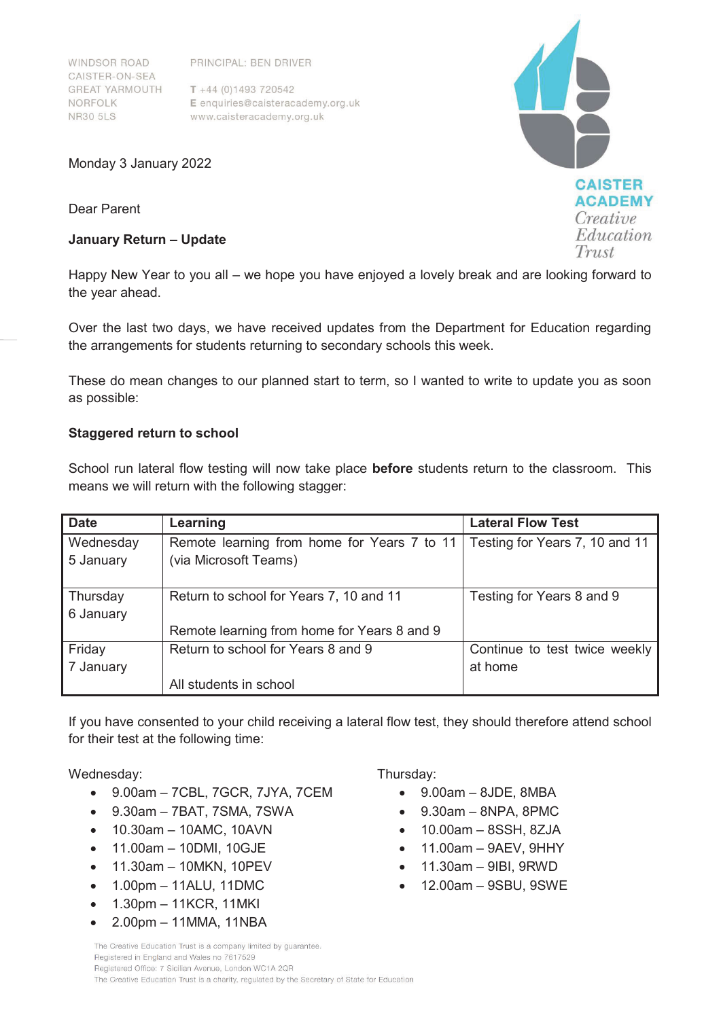WINDSOR ROAD CAISTER-ON-SEA **GREAT YARMOUTH** NORFOLK **NR30 5LS** 

PRINCIPAL: BEN DRIVER

 $T + 44 (0)1493 720542$ E enquiries@caisteracademy.org.uk www.caisteracademy.org.uk

Monday 3 January 2022

Dear Parent

## **January Return – Update**

Happy New Year to you all – we hope you have enjoyed a lovely break and are looking forward to the year ahead.

Over the last two days, we have received updates from the Department for Education regarding the arrangements for students returning to secondary schools this week.

These do mean changes to our planned start to term, so I wanted to write to update you as soon as possible:

# **Staggered return to school**

School run lateral flow testing will now take place **before** students return to the classroom. This means we will return with the following stagger:

| <b>Date</b> | Learning                                    | <b>Lateral Flow Test</b>       |
|-------------|---------------------------------------------|--------------------------------|
| Wednesday   | Remote learning from home for Years 7 to 11 | Testing for Years 7, 10 and 11 |
| 5 January   | (via Microsoft Teams)                       |                                |
|             |                                             |                                |
| Thursday    | Return to school for Years 7, 10 and 11     | Testing for Years 8 and 9      |
| 6 January   |                                             |                                |
|             | Remote learning from home for Years 8 and 9 |                                |
| Friday      | Return to school for Years 8 and 9          | Continue to test twice weekly  |
| 7 January   |                                             | at home                        |
|             | All students in school                      |                                |

If you have consented to your child receiving a lateral flow test, they should therefore attend school for their test at the following time:

# Wednesday:

- $\bullet$  9.00am 7CBL, 7GCR, 7JYA, 7CEM
- $\bullet$  9.30am 7BAT, 7SMA, 7SWA
- $\bullet$  10.30am 10AMC, 10AVN
- $\bullet$  11.00am 10DMI, 10GJE
- $\bullet$  11.30am 10MKN, 10PEV
- $\bullet$  1.00pm 11ALU, 11DMC
- $\bullet$  1.30pm 11KCR, 11MKI
- x 2.00pm 11MMA, 11NBA

# Thursday:

- x 9.00am 8JDE, 8MBA
- $\bullet$  9.30am 8NPA, 8PMC
- $\bullet$  10.00am 8SSH, 8ZJA
- x 11.00am 9AEV, 9HHY
- x 11.30am 9IBI, 9RWD
- $\bullet$  12.00am 9SBU, 9SWE

The Creative Education Trust is a company limited by quarantee. Registered in England and Wales no 7617529 Registered Office: 7 Sicilian Avenue, London WC1A 2QR The Creative Education Trust is a charity, regulated by the Secretary of State for Education

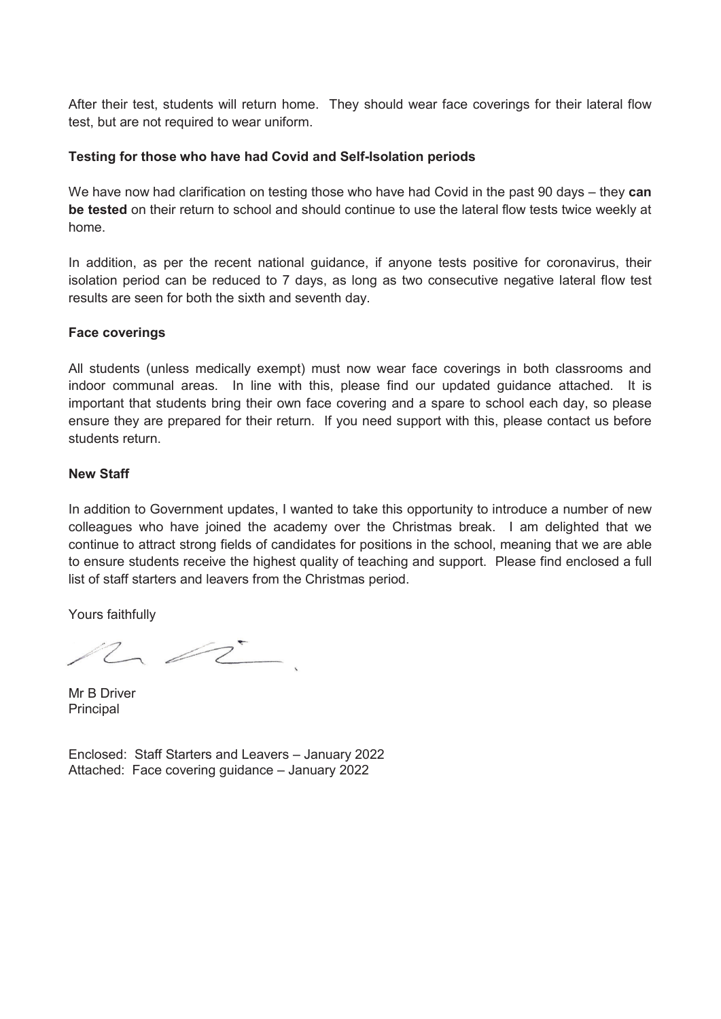After their test, students will return home. They should wear face coverings for their lateral flow test, but are not required to wear uniform.

# **Testing for those who have had Covid and Self-Isolation periods**

We have now had clarification on testing those who have had Covid in the past 90 days – they **can be tested** on their return to school and should continue to use the lateral flow tests twice weekly at home.

In addition, as per the recent national guidance, if anyone tests positive for coronavirus, their isolation period can be reduced to 7 days, as long as two consecutive negative lateral flow test results are seen for both the sixth and seventh day.

#### **Face coverings**

All students (unless medically exempt) must now wear face coverings in both classrooms and indoor communal areas. In line with this, please find our updated guidance attached. It is important that students bring their own face covering and a spare to school each day, so please ensure they are prepared for their return. If you need support with this, please contact us before students return.

## **New Staff**

In addition to Government updates, I wanted to take this opportunity to introduce a number of new colleagues who have joined the academy over the Christmas break. I am delighted that we continue to attract strong fields of candidates for positions in the school, meaning that we are able to ensure students receive the highest quality of teaching and support. Please find enclosed a full list of staff starters and leavers from the Christmas period.

Yours faithfully

 $\sim$   $\approx$   $\sim$ 

Mr B Driver **Principal** 

Enclosed: Staff Starters and Leavers – January 2022 Attached: Face covering guidance – January 2022